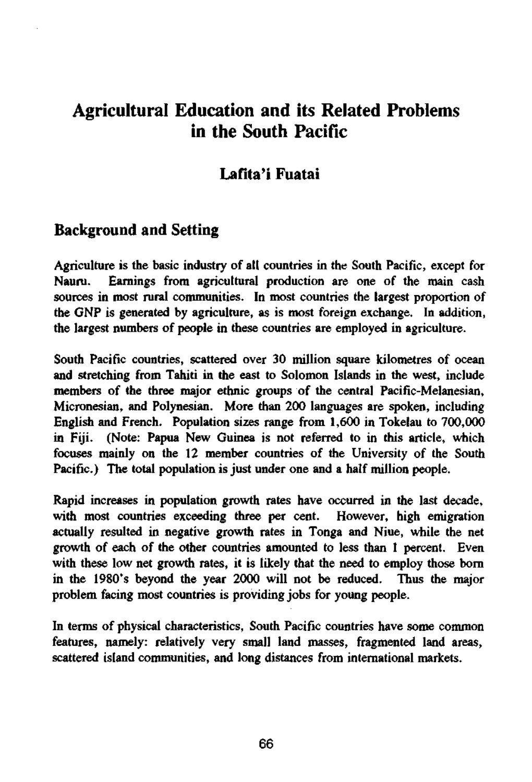# Agricultural Education and its Related Problems in the South Pacific

### Lafita'i Fuatai

#### Background and Setting

Agriculture is the basic industry of all countries in the South Pacific, except for Nauru. Earnings from agricultural production are one of the main cash sources in most rural communities. In most countries the largest proportion of the GNP is generated by agriculture, as is most foreign exchange. In addition, the largest numbers of people in these countries are employed in agriculture.

South Pacific countries, scattered over 30 million square kilometres of ocean and stretching from Tahiti in the east to Solomon Islands in the west, include members of the three major ethnic groups of the central Pacific-Melanesian, Micronesian, and Polynesian. More than 200 languages are spoken, including English and French. Population sizes range from 1,600 in Tokelau to 700,000 in Fiji. (Note: Papua New Guinea is not referred to in this article, which focuses mainly on the 12 member countries of the University of the South Pacific.) The total population is just under one and a half million people.

Rapid increases in population growth rates have occurred in the last decade, with most countries exceeding three per cent. However, high emigration actually resulted in negative growth rates in Tonga and Niue, while the net growth of each of the other countries amounted to less than 1 percent. Even with these low net growth rates, it is likely that the need to employ those born in the 1980's beyond the year 2000 will not be reduced. Thus the major problem facing most countries is providing jobs for young people.

In terms of physical characteristics, South Pacific countries have some common features, namely: relatively very small land masses, fragmented land areas, scattered island communities, and long distances from international markets.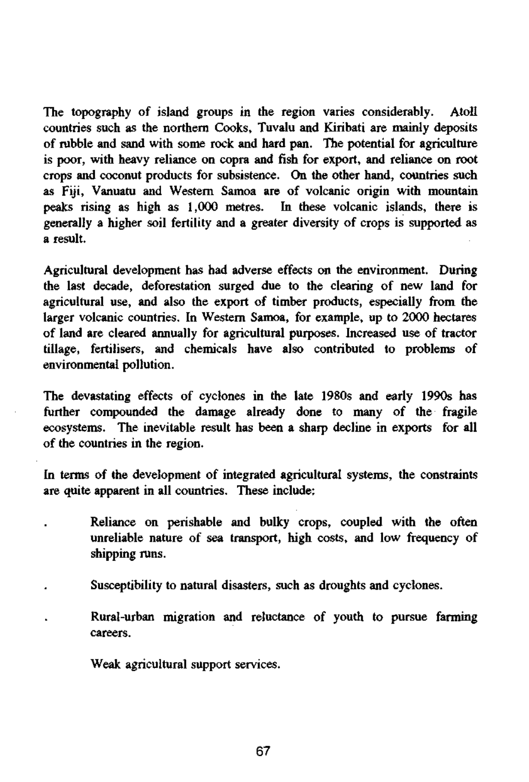The topography of island groups in the region varies considerably. Atoll countries such as the northern Cooks, Tuvalu and Kiribati are mainly deposits of rubble and sand with some rock and hard pan. The potential for agriculture is poor, with heavy reliance on copra and fish for export, and reliance on root crops and coconut products for subsistence. On the other hand, countries such as Fiji, Vanuatu and Western Samoa are of volcanic origin with mountain peaks rising as high as 1,000 metres. In these volcanic islands, there is generally a higher soil fertility and a greater diversity of crops is supported as a result.

Agricultural development has had adverse effects on the environment. During the last decade, deforestation surged due to the clearing of new land for agricultural use, and also the export of timber products, especially from the larger volcanic countries. In Western Samoa, for example, up to 2000 hectares of land are cleared annually for agricultural purposes. Increased use of tractor tillage, fertilisers, and chemicals have also contributed to problems of environmental pollution.

The devastating effects of cyclones in the late 1980s and early 1990s has further compounded the damage already done to many of the fragile ecosystems. The inevitable result has been a sharp decline in exports for all of the countries in the region.

In terms of the development of integrated agricultural systems, the constraints are quite apparent in all countries. These include:

- Reliance on perishable and bulky crops, coupled with the often unreliable nature of sea transport, high costs, and low frequency of shipping runs.
- Susceptibility to natural disasters, such as droughts and cyclones.
	- Rural-urban migration and reluctance of youth to pursue farming careers.

Weak agricultural support services.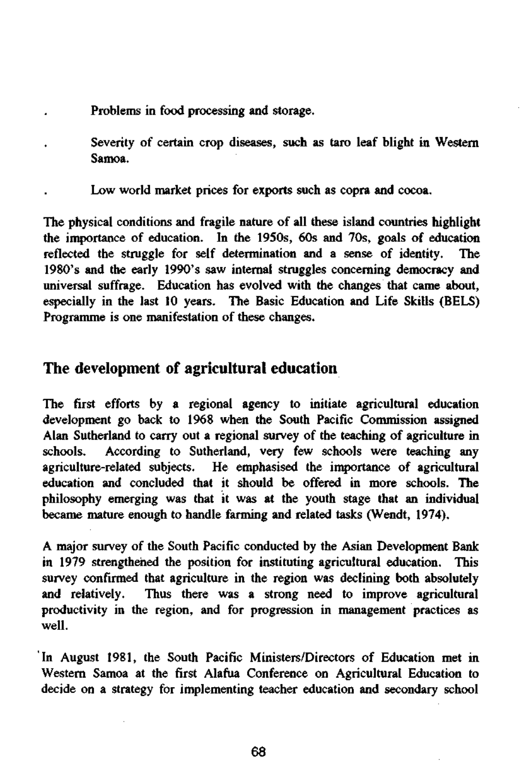- Problems in food processing and storage.
- Severity of certain crop diseases, such as taro leaf blight in Western Samoa.
- Low world market prices for exports such as copra and cocoa.

The physical conditions and fragile nature of all these island countries highlight the importance of education. In the 1950s, 60s and 70s, goals of education reflected the struggle for self determination and a sense of identity. The 1980's and the early 1990's saw internal struggles concerning democracy and universal suffrage. Education has evolved with the changes that came about, especially in the last 10 years. The Basic Education and Life Skills (BELS) Programme is one manifestation of these changes.

#### The development of agricultural education

The first efforts by a regional agency to initiate agricultural education development go back to 1968 when the South Pacific Commission assigned Alan Sutherland to carry out a regional survey of the teaching of agriculture in schools. According to Sutherland, very few schools were teaching any agriculture-related subjects. He emphasised the importance of agricultural education and concluded that it should be offered in more schools. The philosophy emerging was that it was at the youth stage that an individual became mature enough to handle farming and related tasks (Wendt, 1974).

A major survey of the South Pacific conducted by the Asian Development Bank in 1979 strengthened the position for instituting agricultural education. This survey confirmed that agriculture in the region was declining both absolutely and relatively. Thus there was a strong need to improve agricultural productivity in the region, and for progression in management practices as well.

In August 1981, the South Pacific Ministers/Directors of Education met in Western Samoa at the first Alafua Conference on Agricultural Education to decide on a strategy for implementing teacher education and secondary school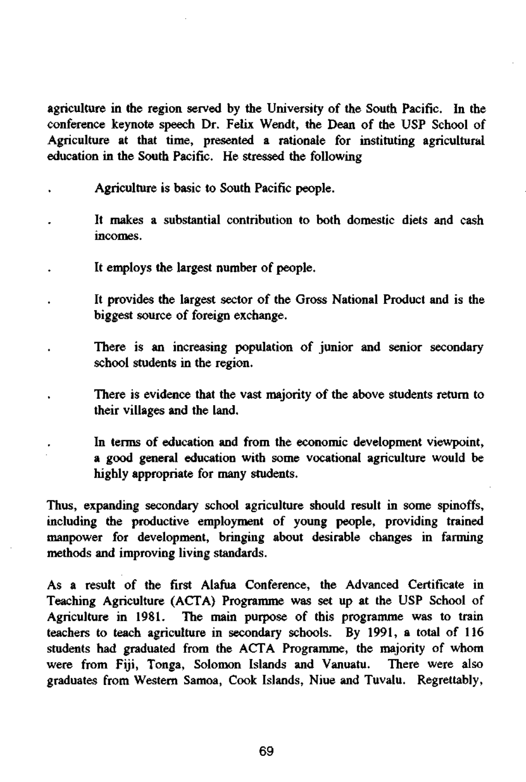agriculture in the region served by the University of the South Pacific. In the conference keynote speech Dr. Felix Wendt, the Dean of the USP School of Agriculture at that time, presented a rationale for instituting agricultural education in the South Pacific. He stressed the following

- Agriculture is basic to South Pacific people.
- It makes a substantial contribution to both domestic diets and cash incomes.
- It employs the largest number of people.
- It provides the largest sector of the Gross National Product and is the biggest source of foreign exchange.
- There is an increasing population of junior and senior secondary school students in the region.
	- There is evidence that the vast majority of the above students return to their villages and the land.
		- In terms of education and from the economic development viewpoint, a good general education with some vocational agriculture would be highly appropriate for many students.

Thus, expanding secondary school agriculture should result in some spinoffs, including the productive employment of young people, providing trained manpower for development, bringing about desirable changes in farming methods and improving living standards.

As a result of the first Alafua Conference, the Advanced Certificate in Teaching Agriculture (ACTA) Programme was set up at the USP School of Agriculture in 1981. The main purpose of this programme was to train teachers to teach agriculture in secondary schools. By 1991, a total of 116 students had graduated from the ACTA Programme, the majority of whom were from Fiji, Tonga, Solomon Islands and Vanuatu. There were also graduates from Western Samoa, Cook Islands, Niue and Tuvalu. Regrettably,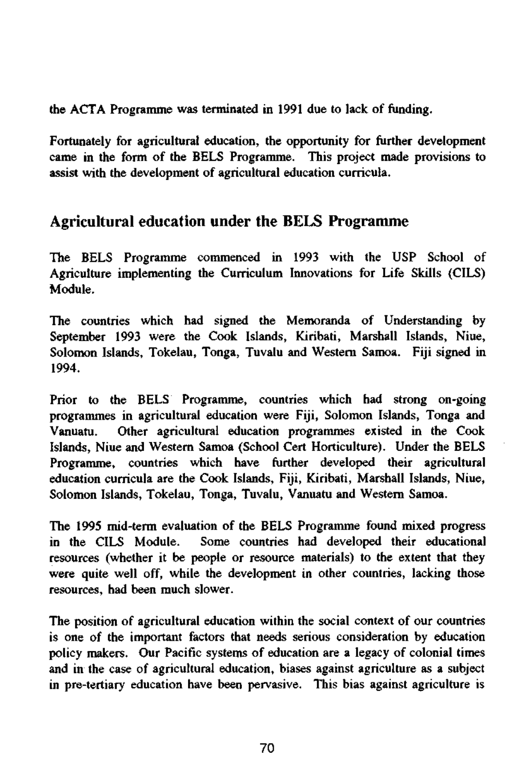the ACTA Programme was terminated in 1991 due to lack of funding.

Fortunately for agricultural education, the opportunity for further development came in the form of the BELS Programme. This project made provisions to assist with the development of agricultural education curricula.

### Agricultural education under the BELS Programme

The BELS Programme commenced in 1993 with the USP School of Agriculture implementing the Curriculum Innovations for Life Skills (CILS) Module.

The countries which had signed the Memoranda of Understanding by September 1993 were the Cook Islands, Kiribati, Marshall Islands, Niue, Solomon Islands, Tokelau, Tonga, Tuvalu and Western Samoa. Fiji signed in 1994.

Prior to the BELS Programme, countries which had strong on-going programmes in agricultural education were Fiji, Solomon Islands, Tonga and Vanuatu. Other agricultural education programmes existed in the Cook Islands, Niue and Western Samoa (School Cert Horticulture). Under the BELS Programme, countries which have further developed their agricultural education curricula are the Cook Islands, Fiji, Kiribati, Marshall Islands, Niue, Solomon Islands, Tokelau, Tonga, Tuvalu, Vanuatu and Western Samoa.

The 1995 mid-term evaluation of the BELS Programme found mixed progress in the CILS Module. Some countries had developed their educational resources (whether it be people or resource materials) to the extent that they were quite well off, while the development in other countries, lacking those resources, had been much slower.

The position of agricultural education within the social context of our countries is one of the important factors that needs serious consideration by education policy makers. Our Pacific systems of education are a legacy of colonial times and in the case of agricultural education, biases against agriculture as a subject in pre-tertiary education have been pervasive. This bias against agriculture is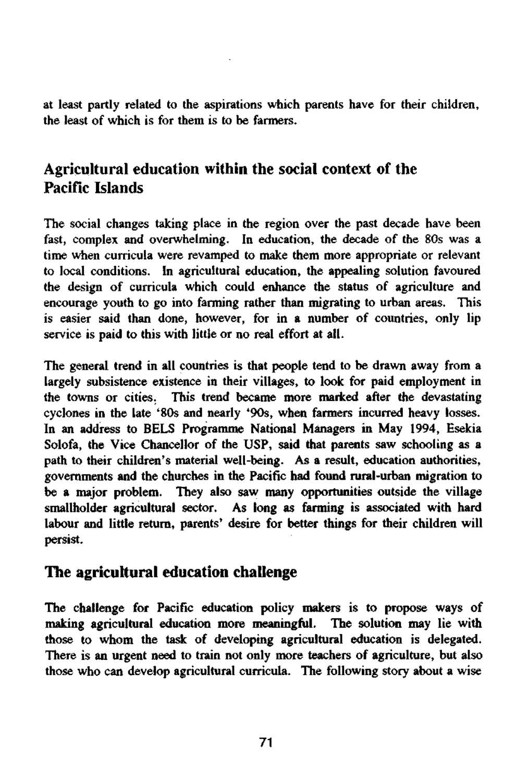at least partly related to the aspirations which parents have for their children, the least of which is for them is to be farmers.

## Agricultural education within the social context of the Pacific Islands

The social changes taking place in the region over the past decade have been fast, complex and overwhelming. In education, the decade of the 80s was a time when curricula were revamped to make them more appropriate or relevant to local conditions. In agricultural education, the appealing solution favoured the design of curricula which could enhance the status of agriculture and encourage youth to go into farming rather than migrating to urban areas. This is easier said than done, however, for in a number of countries, only lip service is paid to this with little or no real effort at all.

The general trend in all countries is that people tend to be drawn away from a largely subsistence existence in their villages, to look for paid employment in the towns or cities. This trend became more marked after the devastating cyclones in the late '80s and nearly '90s, when farmers incurred heavy losses. In an address to BELS Programme National Managers in May 1994, Esekia Solofa, the Vice Chancellor of the USP, said that parents saw schooling as a path to their children's material well-being. As a result, education authorities, governments and the churches in the Pacific had found rural-urban migration to be a major problem. They also saw many opportunities outside the village smallholder agricultural sector. As long as fanning is associated with hard labour and little return, parents' desire for better things for their children will persist.

### The agricultural education challenge

The challenge for Pacific education policy makers is to propose ways of making agricultural education more meaningful. The solution may lie with those to whom the task of developing agricultural education is delegated. There is an urgent need to train not only more teachers of agriculture, but also those who can develop agricultural curricula. The following story about a wise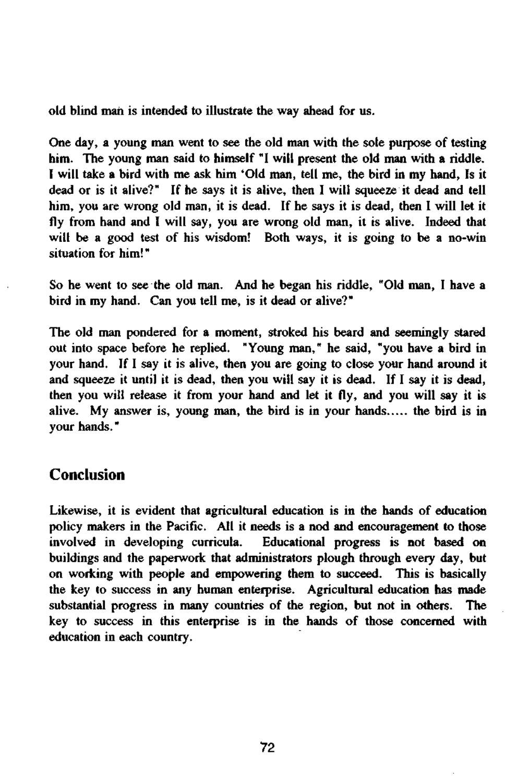old blind man is intended to illustrate the way ahead for us.

One day, a young man went to see the old man with the sole purpose of testing him. The young man said to himself "I will present the old man with a riddle. I will take a bird with me ask him 'Old man, tell me, the bird in my hand, Is it dead or is it alive?" If he says it is alive, then I will squeeze it dead and tell him, you are wrong old man, it is dead. If he says it is dead, then I will let it fly from hand and I will say, you are wrong old man, it is alive. Indeed that will be a good test of his wisdom! Both ways, it is going to be a no-win situation for him!"

So he went to see the old man. And he began his riddle, "Old man, I have a bird in my hand. Can you tell me, is it dead or alive?"

The old man pondered for a moment, stroked his beard and seemingly stared out into space before he replied. "Young man," he said, "you have a bird in your hand. If I say it is alive, then you are going to close your hand around it and squeeze it until it is dead, then you will say it is dead. If I say it is dead, then you will release it from your hand and let it fly, and you will say it is alive. My answer is, young man, the bird is in your hands..... the bird is in your hands."

#### **Conclusion**

Likewise, it is evident that agricultural education is in the hands of education policy makers in the Pacific. All it needs is a nod and encouragement to those involved in developing curricula. Educational progress is not based on buildings and the paperwork that administrators plough through every day, but on working with people and empowering them to succeed. This is basically the key to success in any human enterprise. Agricultural education has made substantial progress in many countries of the region, but not in others. The key to success in this enterprise is in the hands of those concerned with education in each country.